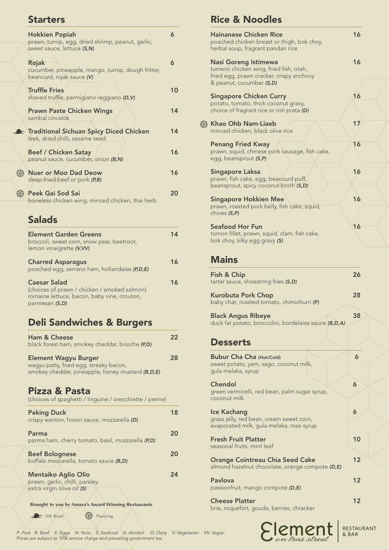# Starters

AB

ADA

| <b>Hokkien Popiah</b><br>prawn, turnip, egg, dried shrimp, peanut, garlic,<br>sweet sauce, lettuce (S,N) | 6  |
|----------------------------------------------------------------------------------------------------------|----|
| Rojak<br>cucumber, pineapple, mango, turnip, dough fritter,<br>beancurd, rojak sauce (V)                 | 6  |
| <b>Truffle Fries</b><br>shaved truffle, parmigiano reggiano (D,V)                                        | 10 |
| <b>Prawn Paste Chicken Wings</b><br>sambal cincalok                                                      | 14 |
| E Traditional Sichuan Spicy Diced Chicken<br>leek, dried chilli, sesame seed                             | 14 |
| <b>Beef / Chicken Satay</b><br>peanut sauce, cucumber, onion (B,N)                                       | 16 |
| \$<br><b>Nuer or Moo Dad Deow</b><br>deep-fried beef or pork (P,B)                                       | 16 |
| \$<br>Peek Gai Sod Sai<br>boneless chicken wing, minced chicken, thai herb                               | 20 |
| <b>Salads</b>                                                                                            |    |
| <b>Element Garden Greens</b><br>broccoli sweet corn snow pear beetroot                                   | 14 |

| broccoli, sweet corn, snow pear, beetroot,<br>lemon vinaigrette (V, VV)                                                              |    |  |
|--------------------------------------------------------------------------------------------------------------------------------------|----|--|
| <b>Charred Asparagus</b><br>poached egg, serrano ham, hollandaise (P,D,E)                                                            | 16 |  |
| <b>Caesar Salad</b><br>(choices of prawn / chicken / smoked salmon)<br>romaine lettuce, bacon, baby vine, crouton,<br>parmesan (S,D) |    |  |

# Deli Sandwiches & Burgers

| <b>Ham &amp; Cheese</b><br>black forest ham, smokey cheddar, brioche (P,D)                                                | 22 |
|---------------------------------------------------------------------------------------------------------------------------|----|
| <b>Element Wagyu Burger</b><br>wagyu patty, fried egg, streaky bacon,<br>smokey cheddar, pineapple, honey mustard (B,D,E) | 28 |
| Pizza & Pasta<br>(choices of spaghetti / linguine / orecchiette / penne)                                                  |    |
| <b>Peking Duck</b><br>crispy wanton, hoisin sauce, mozzarella (D)                                                         | 18 |
| Parma<br>parma ham, cherry tomato, basil, mozzarella (P,D)                                                                | 20 |
| <b>Beef Bolognese</b><br>buffalo mozzarella, tomato sauce (B,D)                                                           | 20 |
| <b>Mentaiko Aglio Olio</b><br>prawn, garlic, chilli, parsley,<br>extra virgin olive oil (S)                               | 24 |

**Brought to you by Amara's Award Winning Restaurants**

 $\overbrace{\phantom{xxxxx}}$  Silk Road  $\overbrace{\phantom{xxxxx}}$  Thanying

# Rice & Noodles

| <b>Hainanese Chicken Rice</b><br>poached chicken breast or thigh, bok choy,<br>herbal soup, fragrant pandan rice                               | 16 |
|------------------------------------------------------------------------------------------------------------------------------------------------|----|
| <b>Nasi Goreng Istimewa</b><br>tumeric chicken wing, fried fish, otah,<br>fried egg, prawn cracker, crispy anchovy<br>& peanut, cucumber (S,D) | 16 |
| <b>Singapore Chicken Curry</b><br>potato, tomato, thick coconut gravy,<br>choice of fragrant rice or roti prata (D)                            | 16 |
| ※ Khao Ohb Nam-Liaeb<br>minced chicken, black olive rice                                                                                       | 17 |
| <b>Penang Fried Kway</b><br>prawn, squid, chinese pork sausage, fish cake,<br>egg, beansprout (S,P)                                            | 16 |
| <b>Singapore Laksa</b><br>prawn, fish cake, egg, beancurd puff,<br>beansprout, spicy coconut broth (S,D)                                       | 16 |
| <b>Singapore Hokkien Mee</b><br>prawn, roasted pork belly, fish cake, squid,<br>chives (S,P)                                                   | 16 |
| <b>Seafood Hor Fun</b><br>tomon fillet, prawn, squid, clam, fish cake,<br>bok choy, silky egg gravy (S)                                        | 16 |
| <b>Mains</b>                                                                                                                                   |    |
| Fish & Chip<br>tartar sauce, shoestring fries (S,D)                                                                                            | 26 |

Kurobuta Pork Chop 28 baby chat, roasted tomato, chimichurri *(P)*

Black Angus Ribeye 38 duck fat potato, broccolini, bordelaise sauce *(B,D,A)*

#### **Desserts**

| <b>Bubur Cha Cha (Hot/Cold)</b><br>sweet potato, yam, sago, coconut milk,<br>gula melaka, syrup     | 6  |
|-----------------------------------------------------------------------------------------------------|----|
| Chendol<br>green vermicelli, red bean, palm sugar syrup,<br>coconut milk                            | 6  |
| Ice Kachang<br>grass jelly, red bean, cream sweet corn,<br>evaporated milk, gula melaka, rose syrup | 6  |
| <b>Fresh Fruit Platter</b><br>seasonal fruits, mint leaf                                            | 10 |
| <b>Orange Cointreau Chia Seed Cake</b><br>almond hazelnut chocolate, orange compote (D,E)           | 12 |
| <b>Pavlova</b><br>passionfruit, mango compote (D,E)                                                 | 12 |
| <b>Cheese Platter</b><br>brie, roquefort, gouda, berries, chracker                                  | 12 |

Element

RESTAURANT

*P: Pork B: Beef E: Eggs N: Nuts S: Seafood A: Alcohol D: Dairy V: Vegetarian VV: Vegan Prices are subject to 10% service charge and prevailing government tax.*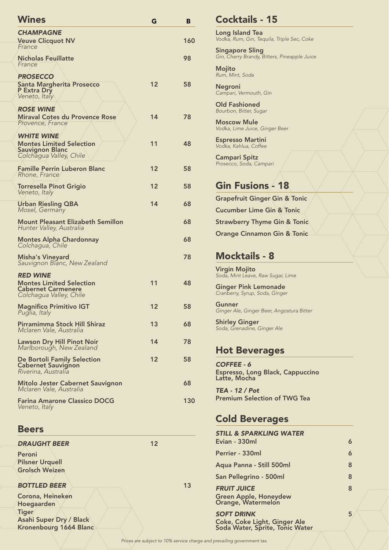| <b>Wines</b>                                                                                              | G  | в   |
|-----------------------------------------------------------------------------------------------------------|----|-----|
| <b>CHAMPAGNE</b><br><b>Veuve Clicquot NV</b><br>France                                                    |    | 160 |
| <b>Nicholas Feuillatte</b><br>France                                                                      |    | 98  |
| <b>PROSECCO</b><br><b>Santa Margherita Prosecco</b><br><b>P Extra Dry</b><br>Veneto, Italy                | 12 | 58  |
| <b>ROSE WINE</b><br><b>Miraval Cotes du Provence Rose</b><br>Provence, France                             | 14 | 78  |
| <b>WHITE WINE</b><br><b>Montes Limited Selection</b><br><b>Sauvignon Blanc</b><br>Colchagua Valley, Chile | 11 | 48  |
| <b>Famille Perrin Luberon Blanc</b><br>Rhone, France                                                      | 12 | 58  |
| <b>Torresella Pinot Grigio</b><br>Veneto, Italy                                                           | 12 | 58  |
| Urban Riesling QBA<br>Mosel, Germany                                                                      | 14 | 68  |
| <b>Mount Pleasant Elizabeth Semillon</b><br>Hunter Valley, Australia                                      |    | 68  |
| <b>Montes Alpha Chardonnay</b><br>Colchagua, Chile                                                        |    | 68  |
| <b>Misha's Vineyard</b><br>Sauvignon Blanc, New Zealand                                                   |    | 78  |
| <b>RED WINE</b>                                                                                           |    |     |
| <b>Montes Limited Selection</b><br><b>Cabernet Carmenere</b><br>Colchagua Valley, Chile                   | 11 | 48  |
| <b>Magnifico Primitivo IGT</b><br>Puglia, Italy                                                           | 12 | 58  |
| Pirramimma Stock Hill Shiraz<br>Mclaren Vale, Australia                                                   | 13 | 68  |
| <b>Lawson Dry Hill Pinot Noir</b><br>Marlborough, New Zealand                                             | 14 | 78  |
| De Bortoli Family Selection<br><b>Cabernet Sauvignon</b><br>Riverina, Australia                           | 12 | 58  |
| Mitolo Jester Cabernet Sauvignon<br>Mclaren Vale, Australia                                               |    | 68  |
| <b>Farina Amarone Classico DOCG</b><br>Veneto, Italy                                                      |    | 130 |
| <b>Beers</b>                                                                                              |    |     |
| <b>DRAUGHT BEER</b>                                                                                       | 12 |     |
| Peroni<br><b>Pilsner Urquell</b><br><b>Grolsch Weizen</b>                                                 |    |     |
| <b>BOTTLED BEER</b>                                                                                       |    | 13  |
| Corona, Heineken                                                                                          |    |     |

Hoegaarden

Asahi Super Dry / Black Kronenbourg 1664 Blanc

Tiger

|    |     | <b>Cocktails - 15</b>                                                  |   |
|----|-----|------------------------------------------------------------------------|---|
| G  | B   | <b>Long Island Tea</b>                                                 |   |
|    | 160 | Vodka, Rum, Gin, Tequila, Triple Sec, Coke                             |   |
|    | 98  | <b>Singapore Sling</b><br>Gin, Cherry Brandy, Bitters, Pineapple Juice |   |
|    |     | Mojito<br>Rum, Mint, Soda                                              |   |
| 12 | 58  | <b>Negroni</b><br>Campari, Vermouth, Gin                               |   |
|    |     | <b>Old Fashioned</b><br>Bourbon, Bitter, Sugar                         |   |
| 14 | 78  | <b>Moscow Mule</b><br>Vodka, Lime Juice, Ginger Beer                   |   |
| 11 | 48  | <b>Espresso Martini</b><br>Vodka, Kahlua, Coffee                       |   |
| 12 | 58  | <b>Campari Spitz</b><br>Prosecco, Soda, Campari                        |   |
| 12 | 58  | <b>Gin Fusions - 18</b>                                                |   |
|    |     | <b>Grapefruit Ginger Gin &amp; Tonic</b>                               |   |
| 14 | 68  | <b>Cucumber Lime Gin &amp; Tonic</b>                                   |   |
|    | 68  | <b>Strawberry Thyme Gin &amp; Tonic</b>                                |   |
|    | 68  | <b>Orange Cinnamon Gin &amp; Tonic</b>                                 |   |
|    | 78  | <b>Mocktails - 8</b>                                                   |   |
|    |     | <b>Virgin Mojito</b><br>Soda, Mint Leave, Raw Sugar, Lime              |   |
| 11 | 48  | <b>Ginger Pink Lemonade</b><br>Cranberry, Syrup, Soda, Ginger          |   |
| 12 | 58  | Gunner<br>Ginger Ale, Ginger Beer, Angostura Bitter                    |   |
| 13 | 68  | <b>Shirley Ginger</b><br>Soda, Grenadine, Ginger Ale                   |   |
| 14 | 78  | <b>Hot Beverages</b>                                                   |   |
| 12 | 58  |                                                                        |   |
|    |     | COFFEE - 6<br><b>Espresso, Long Black, Cappuccino</b><br>Latte, Mocha  |   |
|    | 68  | <b>TEA - 12 / Pot</b>                                                  |   |
|    | 130 | <b>Premium Selection of TWG Tea</b>                                    |   |
|    |     | <b>Cold Beverages</b>                                                  |   |
| 12 |     | <b>STILL &amp; SPARKLING WATER</b><br>Evian - 330ml                    | 6 |
|    |     | Perrier - 330ml                                                        | 6 |
|    |     | Aqua Panna - Still 500ml                                               | 8 |
|    |     | San Pellegrino - 500ml                                                 | 8 |
|    | 13  | <b>FRUIT JUICE</b><br>Green Apple, Honeydew<br>Orange, Watermelon      | 8 |

**SOFT DRINK** 5 Coke, Coke Light, Ginger Ale Soda Water, Sprite, Tonic Water